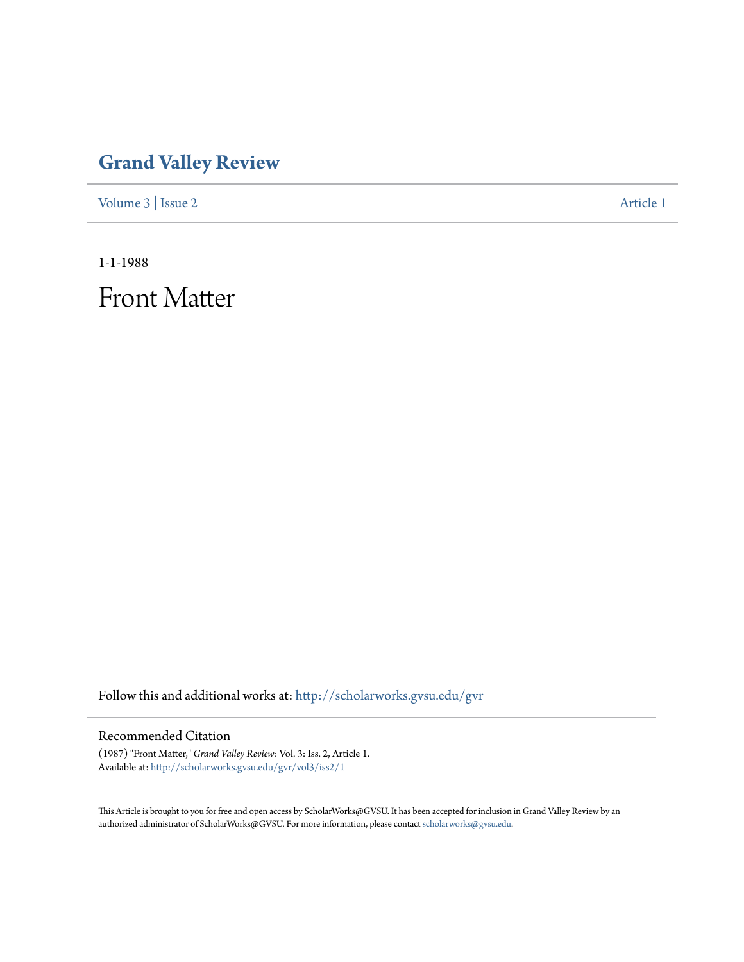## **[Grand Valley Review](http://scholarworks.gvsu.edu/gvr?utm_source=scholarworks.gvsu.edu%2Fgvr%2Fvol3%2Fiss2%2F1&utm_medium=PDF&utm_campaign=PDFCoverPages)**

[Volume 3](http://scholarworks.gvsu.edu/gvr/vol3?utm_source=scholarworks.gvsu.edu%2Fgvr%2Fvol3%2Fiss2%2F1&utm_medium=PDF&utm_campaign=PDFCoverPages) | [Issue 2](http://scholarworks.gvsu.edu/gvr/vol3/iss2?utm_source=scholarworks.gvsu.edu%2Fgvr%2Fvol3%2Fiss2%2F1&utm_medium=PDF&utm_campaign=PDFCoverPages) [Article 1](http://scholarworks.gvsu.edu/gvr/vol3/iss2/1?utm_source=scholarworks.gvsu.edu%2Fgvr%2Fvol3%2Fiss2%2F1&utm_medium=PDF&utm_campaign=PDFCoverPages)

1-1-1988

Front Matter

Follow this and additional works at: [http://scholarworks.gvsu.edu/gvr](http://scholarworks.gvsu.edu/gvr?utm_source=scholarworks.gvsu.edu%2Fgvr%2Fvol3%2Fiss2%2F1&utm_medium=PDF&utm_campaign=PDFCoverPages)

## Recommended Citation

(1987) "Front Matter," *Grand Valley Review*: Vol. 3: Iss. 2, Article 1. Available at: [http://scholarworks.gvsu.edu/gvr/vol3/iss2/1](http://scholarworks.gvsu.edu/gvr/vol3/iss2/1?utm_source=scholarworks.gvsu.edu%2Fgvr%2Fvol3%2Fiss2%2F1&utm_medium=PDF&utm_campaign=PDFCoverPages)

This Article is brought to you for free and open access by ScholarWorks@GVSU. It has been accepted for inclusion in Grand Valley Review by an authorized administrator of ScholarWorks@GVSU. For more information, please contact [scholarworks@gvsu.edu.](mailto:scholarworks@gvsu.edu)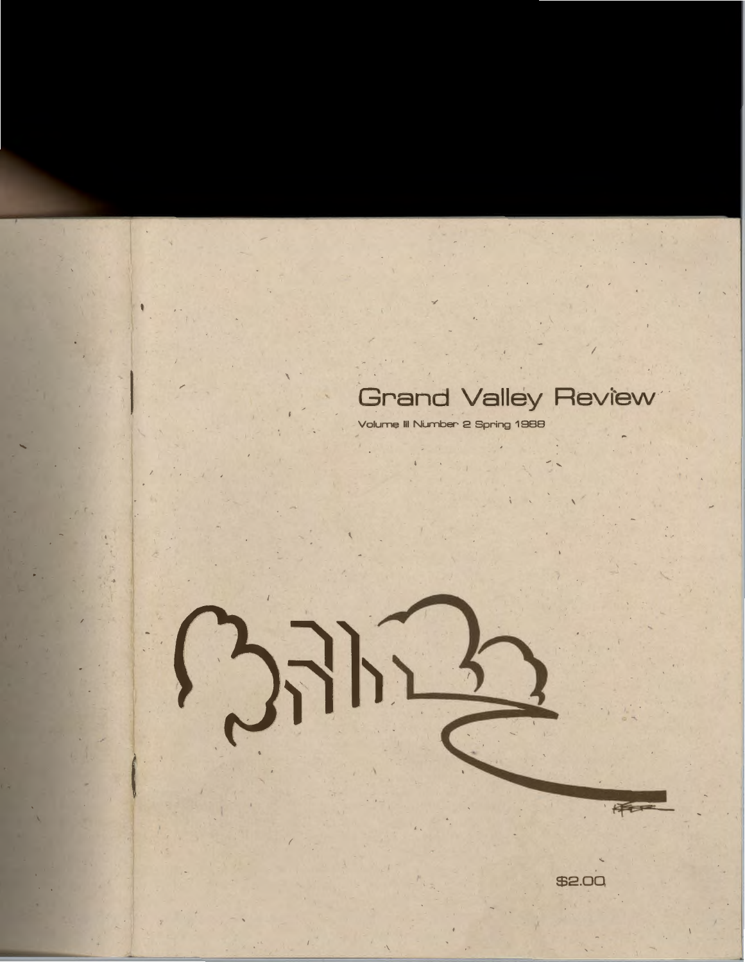## Grand Valley Review

E

\$2.00

Volume III Number 2 Spring 1988

 $\sum_{i=1}^n \frac{1}{2}$